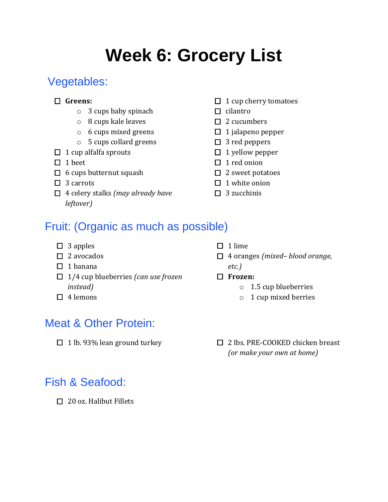# **Week 6: Grocery List**

## Vegetables:

#### **Greens:**

- o 3 cups baby spinach
- o 8 cups kale leaves
- o 6 cups mixed greens
- o 5 cups collard greens
- $\Box$  1 cup alfalfa sprouts
- $\Box$  1 beet
- $\Box$  6 cups butternut squash
- $\Box$  3 carrots
- 4 celery stalks *(may already have leftover)*
- $\Box$  1 cup cherry tomatoes
- $\Box$  cilantro
- $\Box$  2 cucumbers
- $\Box$  1 jalapeno pepper
- $\square$  3 red peppers
- $\Box$  1 yellow pepper
- $\Box$  1 red onion
- $\Box$  2 sweet potatoes
- $\Box$  1 white onion
- $\Box$  3 zucchinis

### Fruit: (Organic as much as possible)

- $\Box$  3 apples
- $\Box$  2 avocados
- $\Box$  1 banana
- 1/4 cup blueberries *(can use frozen instead)*
- $\Box$  4 lemons

### Meat & Other Protein:

#### $\Box$  1 lime

- 4 oranges *(mixed– blood orange, etc.)*
- **Frozen:**
	- o 1.5 cup blueberries
	- o 1 cup mixed berries
- $\Box$  1 lb. 93% lean ground turkey  $\Box$  2 lbs. PRE-COOKED chicken breast *(or make your own at home)*

## Fish & Seafood:

 $\Box$  20 oz. Halibut Fillets

- -